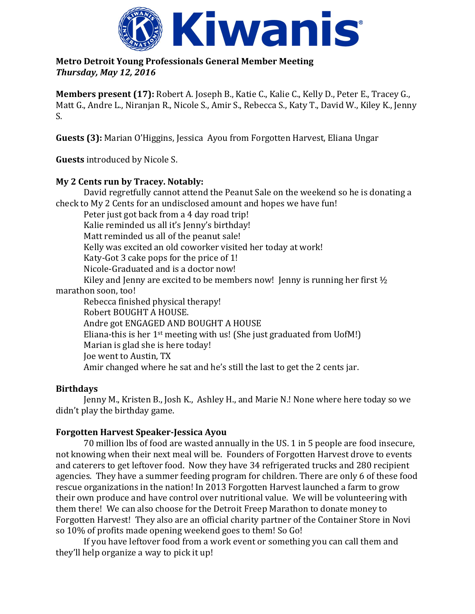

**Metro Detroit Young Professionals General Member Meeting**  *Thursday, May 12, 2016*

**Members present (17):** Robert A. Joseph B., Katie C., Kalie C., Kelly D., Peter E., Tracey G., Matt G., Andre L., Niranjan R., Nicole S., Amir S., Rebecca S., Katy T., David W., Kiley K., Jenny S.

**Guests (3):** Marian O'Higgins, Jessica Ayou from Forgotten Harvest, Eliana Ungar

**Guests** introduced by Nicole S.

# **My 2 Cents run by Tracey. Notably:**

David regretfully cannot attend the Peanut Sale on the weekend so he is donating a check to My 2 Cents for an undisclosed amount and hopes we have fun! Peter just got back from a 4 day road trip! Kalie reminded us all it's Jenny's birthday! Matt reminded us all of the peanut sale! Kelly was excited an old coworker visited her today at work! Katy-Got 3 cake pops for the price of 1! Nicole-Graduated and is a doctor now! Kiley and Jenny are excited to be members now! Jenny is running her first 1/2 marathon soon, too! Rebecca finished physical therapy! Robert BOUGHT A HOUSE. Andre got ENGAGED AND BOUGHT A HOUSE Eliana-this is her  $1<sup>st</sup>$  meeting with us! (She just graduated from UofM!) Marian is glad she is here today! Joe went to Austin, TX Amir changed where he sat and he's still the last to get the 2 cents jar.

# **Birthdays**

Jenny M., Kristen B., Josh K., Ashley H., and Marie N.! None where here today so we didn't play the birthday game.

# **Forgotten Harvest Speaker-Jessica Ayou**

70 million lbs of food are wasted annually in the US. 1 in 5 people are food insecure, not knowing when their next meal will be. Founders of Forgotten Harvest drove to events and caterers to get leftover food. Now they have 34 refrigerated trucks and 280 recipient agencies. They have a summer feeding program for children. There are only 6 of these food rescue organizations in the nation! In 2013 Forgotten Harvest launched a farm to grow their own produce and have control over nutritional value. We will be volunteering with them there! We can also choose for the Detroit Freep Marathon to donate money to Forgotten Harvest! They also are an official charity partner of the Container Store in Novi so 10% of profits made opening weekend goes to them! So Go!

If you have leftover food from a work event or something you can call them and they'll help organize a way to pick it up!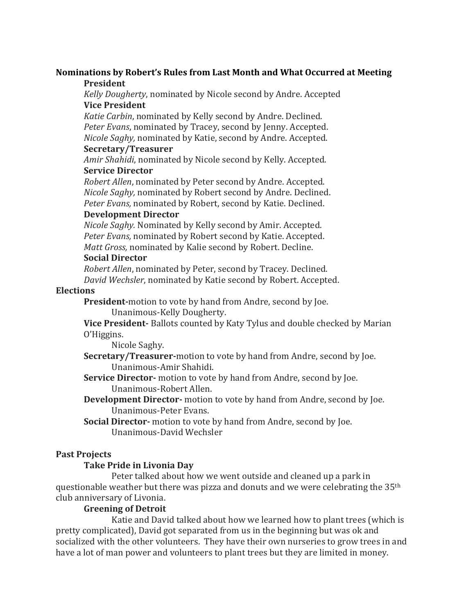#### **Nominations by Robert's Rules from Last Month and What Occurred at Meeting President**

*Kelly Dougherty*, nominated by Nicole second by Andre. Accepted **Vice President**

*Katie Carbin*, nominated by Kelly second by Andre. Declined. *Peter Evans*, nominated by Tracey, second by Jenny. Accepted. *Nicole Saghy,* nominated by Katie, second by Andre. Accepted.

#### **Secretary/Treasurer**

*Amir Shahidi*, nominated by Nicole second by Kelly. Accepted. **Service Director**

*Robert Allen*, nominated by Peter second by Andre. Accepted. *Nicole Saghy,* nominated by Robert second by Andre. Declined. *Peter Evans,* nominated by Robert, second by Katie. Declined.

# **Development Director**

*Nicole Saghy.* Nominated by Kelly second by Amir. Accepted. *Peter Evans,* nominated by Robert second by Katie. Accepted. *Matt Gross,* nominated by Kalie second by Robert. Decline.

### **Social Director**

*Robert Allen*, nominated by Peter, second by Tracey. Declined. *David Wechsler*, nominated by Katie second by Robert. Accepted.

### **Elections**

**President-**motion to vote by hand from Andre, second by Joe.

Unanimous-Kelly Dougherty.

**Vice President-** Ballots counted by Katy Tylus and double checked by Marian O'Higgins.

Nicole Saghy.

**Secretary/Treasurer-**motion to vote by hand from Andre, second by Joe. Unanimous-Amir Shahidi.

**Service Director-** motion to vote by hand from Andre, second by Joe. Unanimous-Robert Allen.

**Development Director-** motion to vote by hand from Andre, second by Joe. Unanimous-Peter Evans.

**Social Director-** motion to vote by hand from Andre, second by Joe. Unanimous-David Wechsler

# **Past Projects**

# **Take Pride in Livonia Day**

Peter talked about how we went outside and cleaned up a park in questionable weather but there was pizza and donuts and we were celebrating the 35th club anniversary of Livonia.

# **Greening of Detroit**

Katie and David talked about how we learned how to plant trees (which is pretty complicated), David got separated from us in the beginning but was ok and socialized with the other volunteers. They have their own nurseries to grow trees in and have a lot of man power and volunteers to plant trees but they are limited in money.